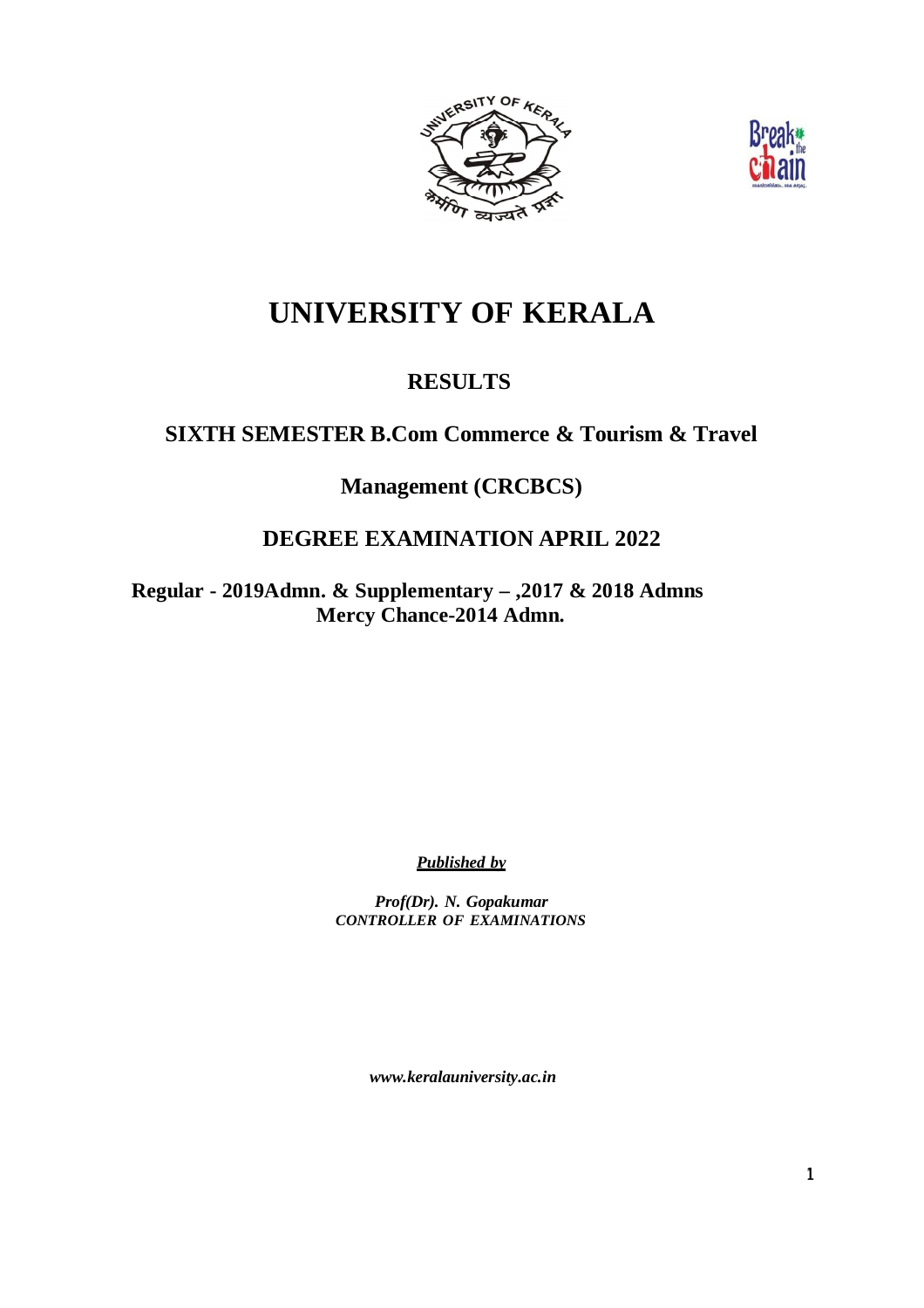



# **UNIVERSITY OF KERALA**

# **RESULTS**

# **SIXTH SEMESTER B.Com Commerce & Tourism & Travel**

**Management (CRCBCS)**

# **DEGREE EXAMINATION APRIL 2022**

**Regular - 2019Admn. & Supplementary – ,2017 & 2018 Admns Mercy Chance-2014 Admn.**

*Published by*

*Prof(Dr). N. Gopakumar CONTROLLER OF EXAMINATIONS*

*www.keralauniversity.ac.in*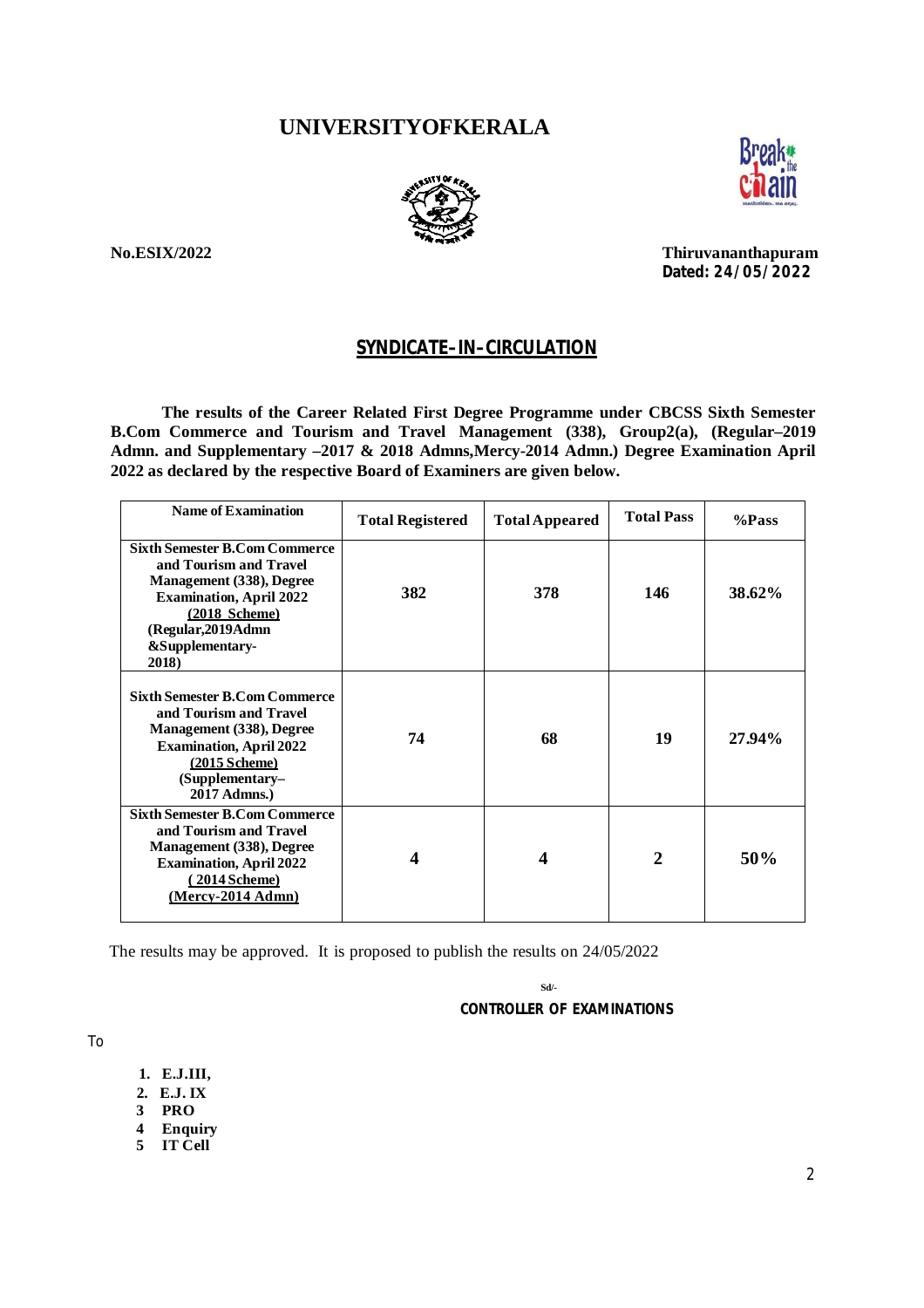# **UNIVERSITYOFKERALA**





**No.ESIX/2022 Thiruvananthapuram Dated: 24 /05/2022**

### **SYNDICATE–IN–CIRCULATION**

**The results of the Career Related First Degree Programme under CBCSS Sixth Semester B.Com Commerce and Tourism and Travel Management (338), Group2(a), (Regular–2019 Admn. and Supplementary –2017 & 2018 Admns,Mercy-2014 Admn.) Degree Examination April 2022 as declared by the respective Board of Examiners are given below.**

| Name of Examination                                                                                                                                                                                         | <b>Total Registered</b> | <b>Total Appeared</b> | <b>Total Pass</b> | %Pass  |
|-------------------------------------------------------------------------------------------------------------------------------------------------------------------------------------------------------------|-------------------------|-----------------------|-------------------|--------|
| <b>Sixth Semester B.Com Commerce</b><br>and Tourism and Travel<br>Management (338), Degree<br><b>Examination, April 2022</b><br>$(2018 \text{ Scheme})$<br>(Regular, 2019 Admn)<br>&Supplementary-<br>2018) | 382                     | 378                   | 146               | 38.62% |
| <b>Sixth Semester B.Com Commerce</b><br>and Tourism and Travel<br>Management (338), Degree<br><b>Examination, April 2022</b><br>$(2015$ Scheme)<br>$(Supplementary-$<br>2017 Admns.)                        | 74                      | 68                    | 19                | 27.94% |
| <b>Sixth Semester B.Com Commerce</b><br>and Tourism and Travel<br>Management (338), Degree<br><b>Examination, April 2022</b><br>(2014 Scheme)<br>$(Mercy-2014Admn)$                                         | 4                       | 4                     | $\mathbf{2}$      | 50%    |

The results may be approved. It is proposed to publish the results on 24/05/2022

 **Sd/-**

 **CONTROLLER OF EXAMINATIONS**

To

- **1. E.J.III,**
- **2. E.J. IX**
- **3 PRO**
- **4 Enquiry**
- **5 IT Cell**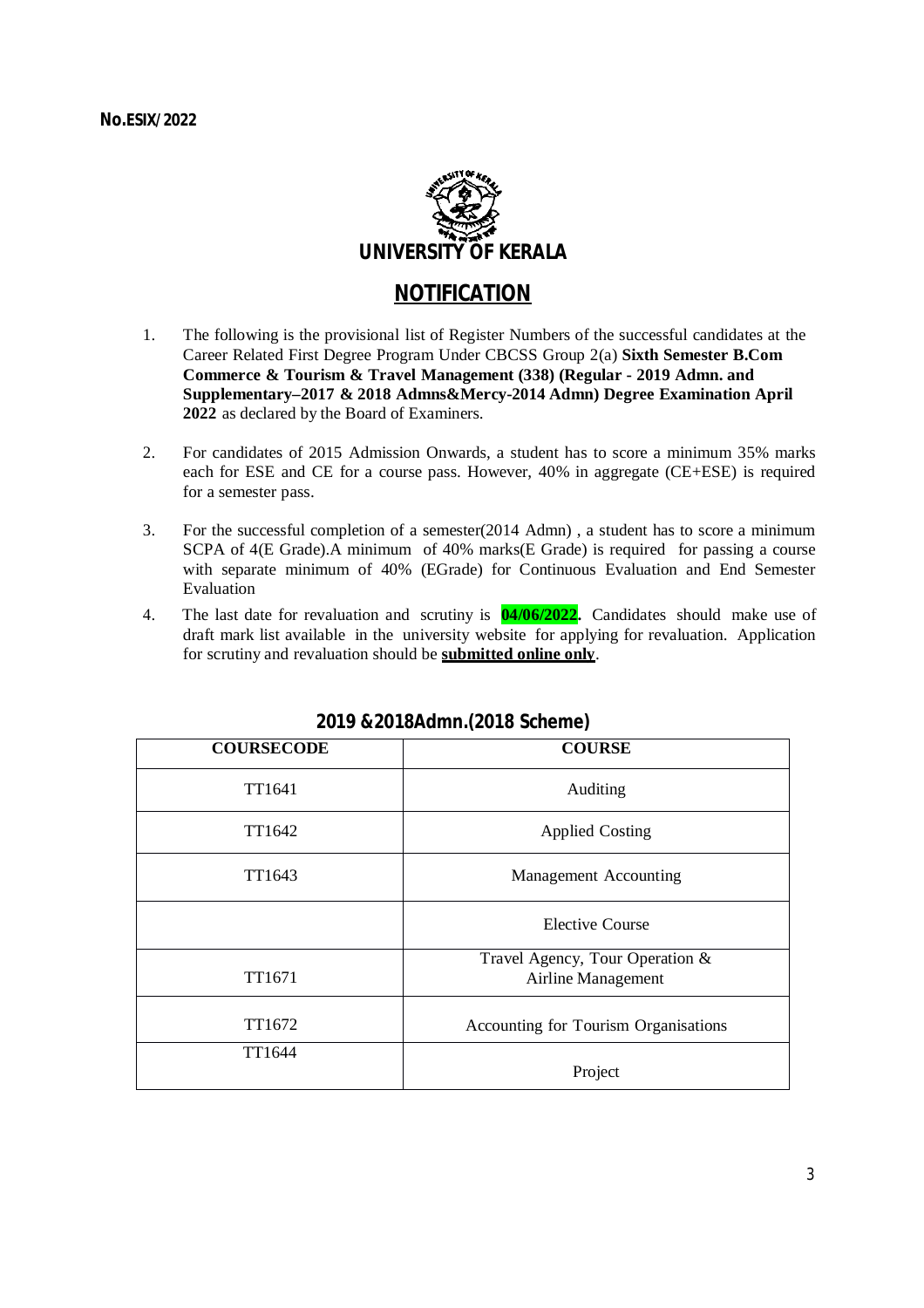

# **NOTIFICATION**

- 1. The following is the provisional list of Register Numbers of the successful candidates at the Career Related First Degree Program Under CBCSS Group 2(a) **Sixth Semester B.Com Commerce & Tourism & Travel Management (338) (Regular - 2019 Admn. and Supplementary–2017 & 2018 Admns&Mercy-2014 Admn) Degree Examination April 2022** as declared by the Board of Examiners.
- 2. For candidates of 2015 Admission Onwards, a student has to score a minimum 35% marks each for ESE and CE for a course pass. However, 40% in aggregate (CE+ESE) is required for a semester pass.
- 3. For the successful completion of a semester(2014 Admn) , a student has to score a minimum SCPA of 4(E Grade).A minimum of 40% marks(E Grade) is required for passing a course with separate minimum of 40% (EGrade) for Continuous Evaluation and End Semester Evaluation
- 4. The last date for revaluation and scrutiny is **04/06/2022.** Candidates should make use of draft mark list available in the university website for applying for revaluation. Application for scrutiny and revaluation should be **submitted online only**.

| <b>COURSECODE</b> | <b>COURSE</b>                                         |
|-------------------|-------------------------------------------------------|
| TT1641            | Auditing                                              |
| TT1642            | <b>Applied Costing</b>                                |
| TT1643            | Management Accounting                                 |
|                   | <b>Elective Course</b>                                |
| TT1671            | Travel Agency, Tour Operation &<br>Airline Management |
| TT1672            | Accounting for Tourism Organisations                  |
| TT1644            | Project                                               |

### **2019 &2018Admn.(2018 Scheme)**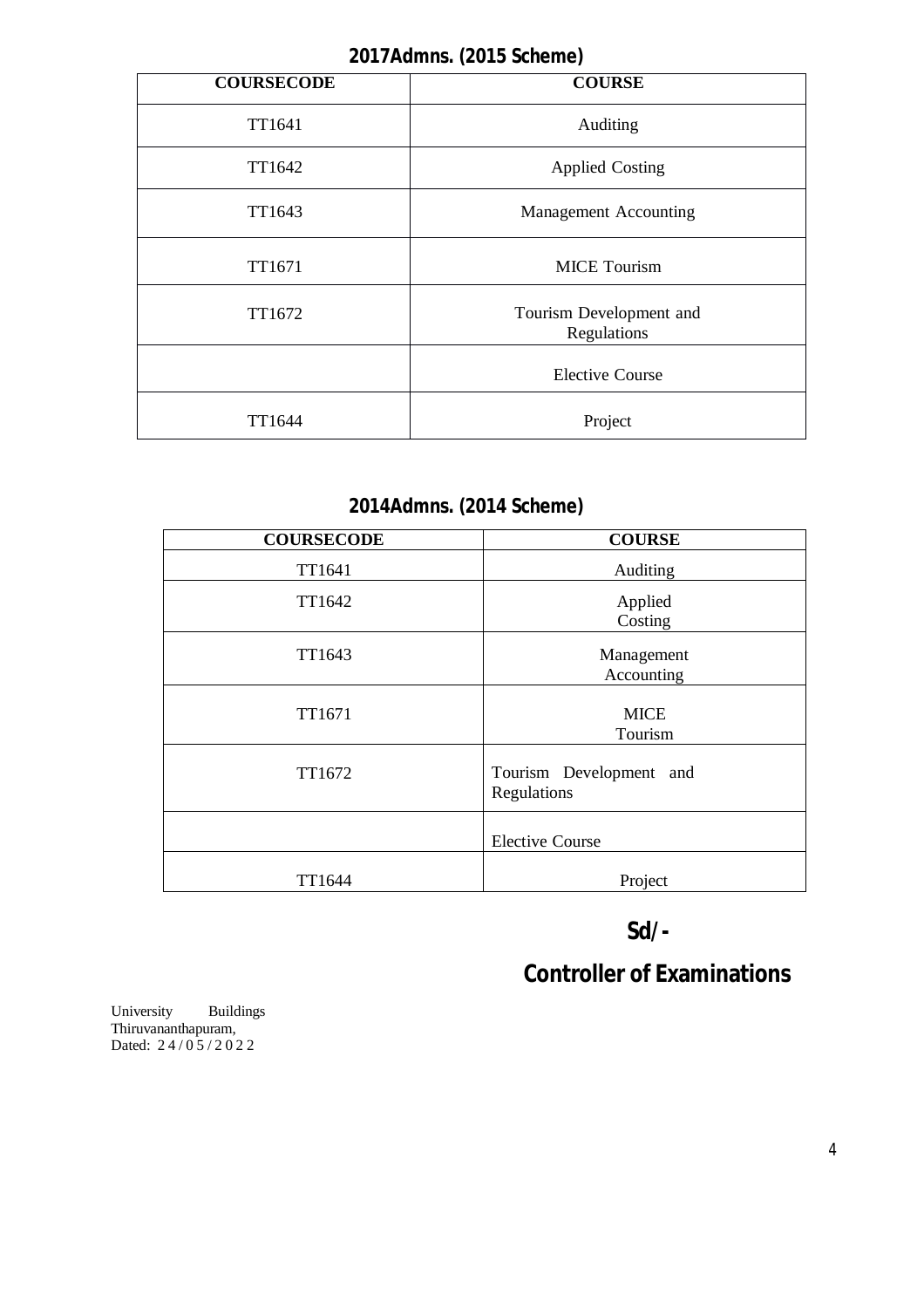# **2017Admns. (2015 Scheme)**

| <b>COURSECODE</b> | <b>COURSE</b>                          |  |  |
|-------------------|----------------------------------------|--|--|
| TT1641            | Auditing                               |  |  |
| TT1642            | <b>Applied Costing</b>                 |  |  |
| TT1643            | <b>Management Accounting</b>           |  |  |
| TT1671            | <b>MICE Tourism</b>                    |  |  |
| TT1672            | Tourism Development and<br>Regulations |  |  |
|                   | <b>Elective Course</b>                 |  |  |
| TT1644            | Project                                |  |  |

# **2014Admns. (2014 Scheme)**

| <b>COURSECODE</b> | <b>COURSE</b>                          |
|-------------------|----------------------------------------|
| TT1641            | Auditing                               |
| TT1642            | Applied<br>Costing                     |
| TT1643            | Management<br>Accounting               |
| TT1671            | <b>MICE</b><br>Tourism                 |
| TT1672            | Tourism Development and<br>Regulations |
|                   | <b>Elective Course</b>                 |
| TT1644            | Project                                |

# **Sd/-**

# **Controller of Examinations**

University Buildings Thiruvananthapuram, Dated: 24/05/2022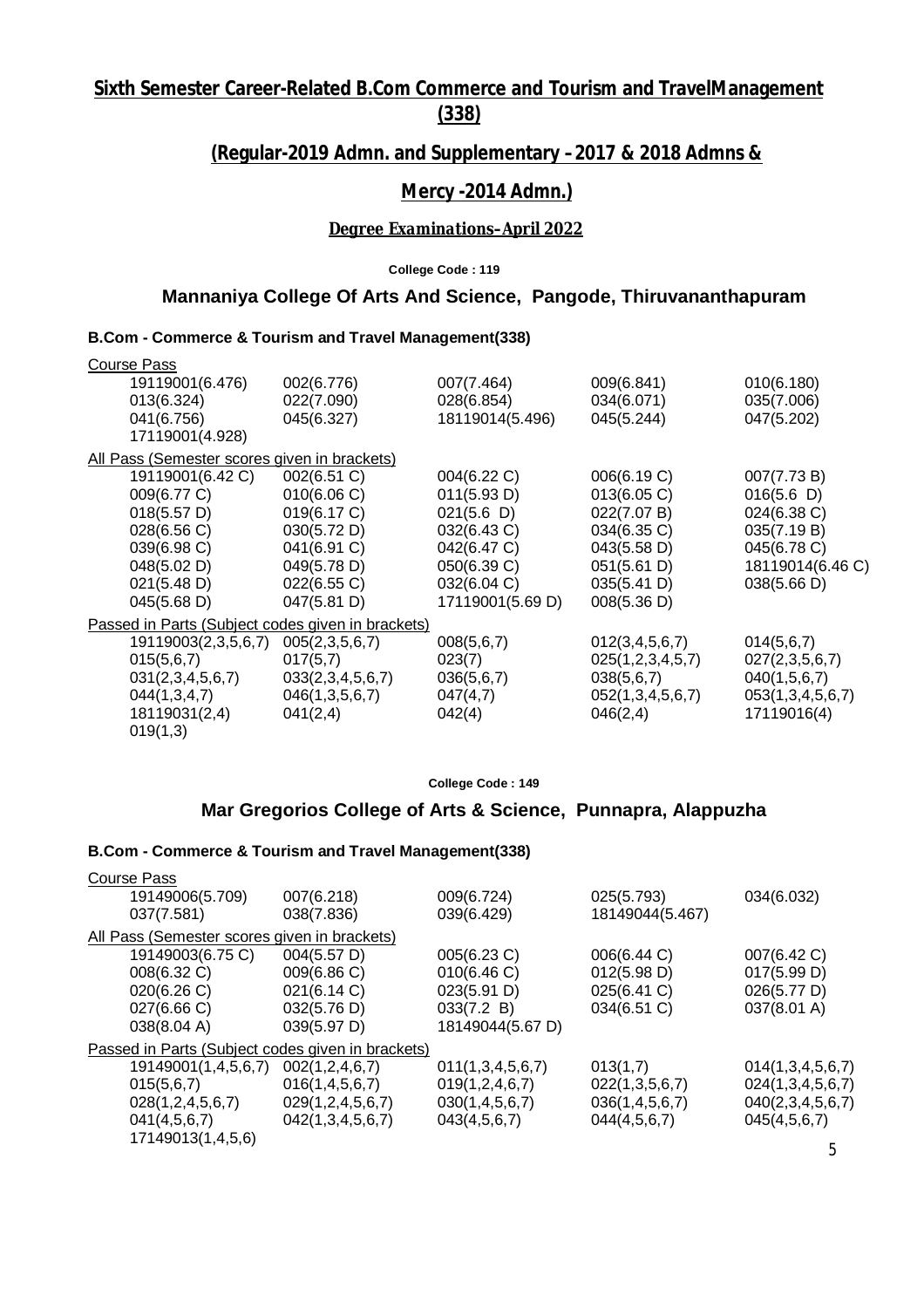# **Sixth Semester Career-Related B.Com Commerce and Tourism and TravelManagement (338)**

# **(Regular-2019 Admn. and Supplementary –2017 & 2018 Admns &**

# **Mercy -2014 Admn.)**

#### *Degree Examinations–April 2022*

**College Code : 119**

### **Mannaniya College Of Arts And Science, Pangode, Thiruvananthapuram**

#### **B.Com - Commerce & Tourism and Travel Management(338)**

| <b>Course Pass</b>                           |                                                   |                  |                  |                  |
|----------------------------------------------|---------------------------------------------------|------------------|------------------|------------------|
| 19119001(6.476)                              | 002(6.776)                                        | 007(7.464)       | 009(6.841)       | 010(6.180)       |
| 013(6.324)                                   | 022(7.090)                                        | 028(6.854)       | 034(6.071)       | 035(7.006)       |
| 041(6.756)                                   | 045(6.327)                                        | 18119014(5.496)  | 045(5.244)       | 047(5.202)       |
| 17119001(4.928)                              |                                                   |                  |                  |                  |
| All Pass (Semester scores given in brackets) |                                                   |                  |                  |                  |
| 19119001(6.42 C)                             | 002(6.51 C)                                       | 004(6.22 C)      | 006(6.19 C)      | 007(7.73 B)      |
| 009(6.77 C)                                  | 010(6.06 C)                                       | 011(5.93 D)      | 013(6.05)        | 016(5.6)         |
| 018(5.57 D)                                  | 019(6.17 C)                                       | 021(5.6)         | 022(7.07 B)      | 024(6.38 C)      |
| 028(6.56 C)                                  | 030(5.72 D)                                       | 032(6.43 C)      | 034(6.35 C)      | 035(7.19 B)      |
| 039(6.98 C)                                  | 041(6.91 C)                                       | 042(6.47 C)      | 043(5.58 D)      | 045(6.78 C)      |
| 048(5.02 D)                                  | 049(5.78 D)                                       | 050(6.39 C)      | 051(5.61 D)      | 18119014(6.46 C) |
| 021(5.48 D)                                  | 022(6.55 C)                                       | 032(6.04 C)      | 035(5.41 D)      | 038(5.66 D)      |
| 045(5.68 D)                                  | 047(5.81 D)                                       | 17119001(5.69 D) | 008(5.36 D)      |                  |
|                                              | Passed in Parts (Subject codes given in brackets) |                  |                  |                  |
| 19119003(2,3,5,6,7)                          | 005(2,3,5,6,7)                                    | 008(5,6,7)       | 012(3,4,5,6,7)   | 014(5,6,7)       |
| 015(5,6,7)                                   | 017(5,7)                                          | 023(7)           | 025(1,2,3,4,5,7) | 027(2,3,5,6,7)   |
| 031(2,3,4,5,6,7)                             | 033(2,3,4,5,6,7)                                  | 036(5,6,7)       | 038(5,6,7)       | 040(1,5,6,7)     |
| 044(1,3,4,7)                                 | 046(1,3,5,6,7)                                    | 047(4,7)         | 052(1,3,4,5,6,7) | 053(1,3,4,5,6,7) |
| 18119031(2,4)                                | 041(2,4)                                          | 042(4)           | 046(2,4)         | 17119016(4)      |
| 019(1,3)                                     |                                                   |                  |                  |                  |
|                                              |                                                   |                  |                  |                  |

**College Code : 149**

### **Mar Gregorios College of Arts & Science, Punnapra, Alappuzha**

| 19149006(5.709)<br>007(6.218)<br>009(6.724)<br>025(5.793)<br>034(6.032)<br>18149044(5.467)<br>038(7.836)<br>039(6.429)<br>037(7.581)<br>All Pass (Semester scores given in brackets)<br>004(5.57 D)<br>19149003(6.75 C)<br>005(6.23 C)<br>006(6.44 C)<br>007(6.42 C)<br>009(6.86 C)<br>012(5.98 D)<br>008(6.32 C)<br>010(6.46)<br>017(5.99 D)<br>025(6.41 C)<br>021(6.14 C)<br>023(5.91 D)<br>026(5.77 D)<br>020(6.26 C)<br>033(7.2 B)<br>034(6.51 C)<br>037(8.01 A)<br>027(6.66 C)<br>032(5.76 D)<br>18149044(5.67 D)<br>039(5.97 D)<br>038(8.04 A)<br>Passed in Parts (Subject codes given in brackets)<br>19149001(1,4,5,6,7)<br>002(1, 2, 4, 6, 7)<br>011(1,3,4,5,6,7)<br>013(1,7)<br>015(5,6,7)<br>016(1, 4, 5, 6, 7)<br>019(1, 2, 4, 6, 7)<br>022(1,3,5,6,7)<br>028(1,2,4,5,6,7)<br>029(1, 2, 4, 5, 6, 7)<br>036(1,4,5,6,7)<br>030(1, 4, 5, 6, 7)<br>041(4,5,6,7)<br>042(1,3,4,5,6,7)<br>044(4,5,6,7)<br>045(4,5,6,7)<br>043(4,5,6,7)<br>17149013(1,4,5,6) | <b>Course Pass</b> |  |                  |
|------------------------------------------------------------------------------------------------------------------------------------------------------------------------------------------------------------------------------------------------------------------------------------------------------------------------------------------------------------------------------------------------------------------------------------------------------------------------------------------------------------------------------------------------------------------------------------------------------------------------------------------------------------------------------------------------------------------------------------------------------------------------------------------------------------------------------------------------------------------------------------------------------------------------------------------------------------------|--------------------|--|------------------|
|                                                                                                                                                                                                                                                                                                                                                                                                                                                                                                                                                                                                                                                                                                                                                                                                                                                                                                                                                                  |                    |  |                  |
|                                                                                                                                                                                                                                                                                                                                                                                                                                                                                                                                                                                                                                                                                                                                                                                                                                                                                                                                                                  |                    |  |                  |
|                                                                                                                                                                                                                                                                                                                                                                                                                                                                                                                                                                                                                                                                                                                                                                                                                                                                                                                                                                  |                    |  |                  |
|                                                                                                                                                                                                                                                                                                                                                                                                                                                                                                                                                                                                                                                                                                                                                                                                                                                                                                                                                                  |                    |  |                  |
|                                                                                                                                                                                                                                                                                                                                                                                                                                                                                                                                                                                                                                                                                                                                                                                                                                                                                                                                                                  |                    |  |                  |
|                                                                                                                                                                                                                                                                                                                                                                                                                                                                                                                                                                                                                                                                                                                                                                                                                                                                                                                                                                  |                    |  |                  |
|                                                                                                                                                                                                                                                                                                                                                                                                                                                                                                                                                                                                                                                                                                                                                                                                                                                                                                                                                                  |                    |  |                  |
|                                                                                                                                                                                                                                                                                                                                                                                                                                                                                                                                                                                                                                                                                                                                                                                                                                                                                                                                                                  |                    |  |                  |
|                                                                                                                                                                                                                                                                                                                                                                                                                                                                                                                                                                                                                                                                                                                                                                                                                                                                                                                                                                  |                    |  |                  |
|                                                                                                                                                                                                                                                                                                                                                                                                                                                                                                                                                                                                                                                                                                                                                                                                                                                                                                                                                                  |                    |  | 014(1,3,4,5,6,7) |
|                                                                                                                                                                                                                                                                                                                                                                                                                                                                                                                                                                                                                                                                                                                                                                                                                                                                                                                                                                  |                    |  | 024(1,3,4,5,6,7) |
|                                                                                                                                                                                                                                                                                                                                                                                                                                                                                                                                                                                                                                                                                                                                                                                                                                                                                                                                                                  |                    |  | 040(2,3,4,5,6,7) |
|                                                                                                                                                                                                                                                                                                                                                                                                                                                                                                                                                                                                                                                                                                                                                                                                                                                                                                                                                                  |                    |  |                  |
|                                                                                                                                                                                                                                                                                                                                                                                                                                                                                                                                                                                                                                                                                                                                                                                                                                                                                                                                                                  |                    |  | 5                |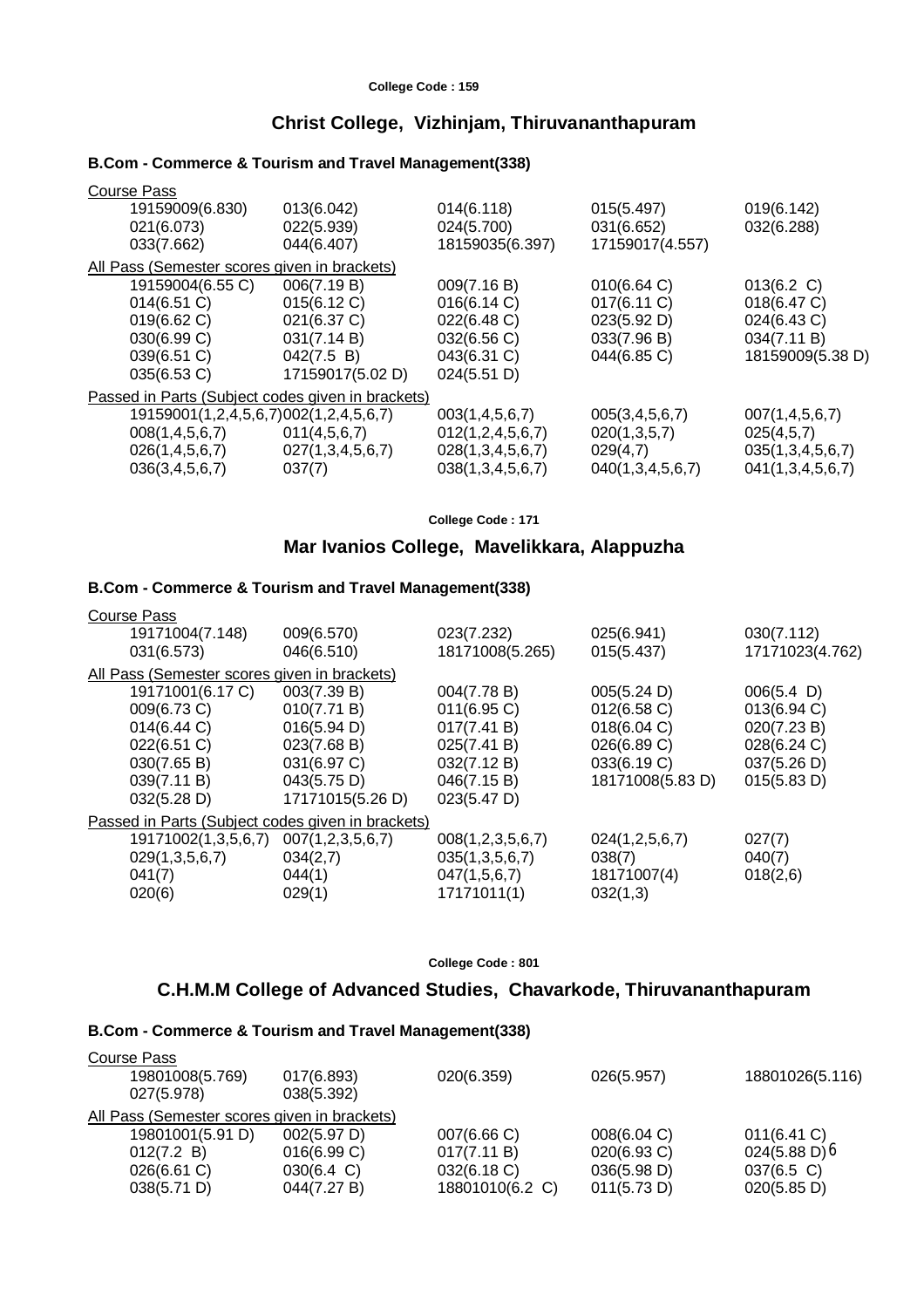#### **Christ College, Vizhinjam, Thiruvananthapuram**

#### **B.Com - Commerce & Tourism and Travel Management(338)**

| Course Pass                                  |                                                   |                       |                    |                    |
|----------------------------------------------|---------------------------------------------------|-----------------------|--------------------|--------------------|
| 19159009(6.830)                              | 013(6.042)                                        | 014(6.118)            | 015(5.497)         | 019(6.142)         |
| 021(6.073)                                   | 022(5.939)                                        | 024(5.700)            | 031(6.652)         | 032(6.288)         |
| 033(7.662)                                   | 044(6.407)                                        | 18159035(6.397)       | 17159017(4.557)    |                    |
| All Pass (Semester scores given in brackets) |                                                   |                       |                    |                    |
| 19159004(6.55 C)                             | 006(7.19 B)                                       | 009(7.16 B)           | 010(6.64)          | 013(6.2 C)         |
| 014(6.51)                                    | 015(6.12 C)                                       | 016(6.14 C)           | 017(6.11 C)        | 018(6.47 C)        |
| 019(6.62 C)                                  | 021(6.37 C)                                       | 022(6.48 C)           | 023(5.92 D)        | 024(6.43 C)        |
| 030(6.99 C)                                  | 031(7.14 B)                                       | 032(6.56 C)           | 033(7.96 B)        | 034(7.11 B)        |
| 039(6.51 C)                                  | 042(7.5 B)                                        | 043(6.31 C)           | 044(6.85 C)        | 18159009(5.38 D)   |
| $035(6.53)$ C)                               | 17159017(5.02 D)                                  | 024(5.51 D)           |                    |                    |
|                                              | Passed in Parts (Subject codes given in brackets) |                       |                    |                    |
| 19159001(1,2,4,5,6,7)002(1,2,4,5,6,7)        |                                                   | 003(1, 4, 5, 6, 7)    | 005(3, 4, 5, 6, 7) | 007(1, 4, 5, 6, 7) |
| 008(1, 4, 5, 6, 7)                           | 011(4,5,6,7)                                      | 012(1, 2, 4, 5, 6, 7) | 020(1,3,5,7)       | 025(4,5,7)         |
| 026(1,4,5,6,7)                               | 027(1,3,4,5,6,7)                                  | 028(1,3,4,5,6,7)      | 029(4,7)           | 035(1,3,4,5,6,7)   |
| 036(3,4,5,6,7)                               | 037(7)                                            | 038(1,3,4,5,6,7)      | 040(1,3,4,5,6,7)   | 041(1,3,4,5,6,7)   |
|                                              |                                                   |                       |                    |                    |

**College Code : 171**

## **Mar Ivanios College, Mavelikkara, Alappuzha**

### **B.Com - Commerce & Tourism and Travel Management(338)**

| 025(6.941)<br>19171004(7.148)<br>009(6.570)<br>023(7.232)<br>030(7.112)<br>18171008(5.265)<br>046(6.510)<br>015(5.437)<br>031(6.573)<br>All Pass (Semester scores given in brackets)<br>003(7.39 B)<br>19171001(6.17 C)<br>004(7.78 B)<br>005(5.24 D)<br>$006(5.4)$ D)<br>013(6.94 C)<br>009(6.73 C)<br>010(7.71 B)<br>011(6.95 C)<br>012(6.58)<br>020(7.23 B)<br>014(6.44 C)<br>016(5.94 D)<br>017(7.41 B)<br>018(6.04 C)<br>026(6.89 C)<br>028(6.24 C)<br>023(7.68 B)<br>025(7.41 B)<br>022(6.51 C)<br>031(6.97 C)<br>032(7.12 B)<br>033(6.19 C)<br>037(5.26 D)<br>030(7.65 B)<br>18171008(5.83 D)<br>015(5.83 D)<br>043(5.75 D)<br>046(7.15 B)<br>039(7.11 B)<br>032(5.28 D)<br>17171015(5.26 D)<br>023(5.47 D)<br>Passed in Parts (Subject codes given in brackets)<br>19171002(1,3,5,6,7)<br>007(1, 2, 3, 5, 6, 7)<br>008(1, 2, 3, 5, 6, 7)<br>027(7)<br>024(1,2,5,6,7)<br>034(2,7)<br>035(1,3,5,6,7)<br>040(7)<br>029(1,3,5,6,7)<br>038(7)<br>044(1)<br>047(1,5,6,7)<br>18171007(4)<br>018(2,6)<br>041(7) | Course Pass |        |             |          |                 |
|-----------------------------------------------------------------------------------------------------------------------------------------------------------------------------------------------------------------------------------------------------------------------------------------------------------------------------------------------------------------------------------------------------------------------------------------------------------------------------------------------------------------------------------------------------------------------------------------------------------------------------------------------------------------------------------------------------------------------------------------------------------------------------------------------------------------------------------------------------------------------------------------------------------------------------------------------------------------------------------------------------------------|-------------|--------|-------------|----------|-----------------|
|                                                                                                                                                                                                                                                                                                                                                                                                                                                                                                                                                                                                                                                                                                                                                                                                                                                                                                                                                                                                                 |             |        |             |          |                 |
|                                                                                                                                                                                                                                                                                                                                                                                                                                                                                                                                                                                                                                                                                                                                                                                                                                                                                                                                                                                                                 |             |        |             |          | 17171023(4.762) |
|                                                                                                                                                                                                                                                                                                                                                                                                                                                                                                                                                                                                                                                                                                                                                                                                                                                                                                                                                                                                                 |             |        |             |          |                 |
|                                                                                                                                                                                                                                                                                                                                                                                                                                                                                                                                                                                                                                                                                                                                                                                                                                                                                                                                                                                                                 |             |        |             |          |                 |
|                                                                                                                                                                                                                                                                                                                                                                                                                                                                                                                                                                                                                                                                                                                                                                                                                                                                                                                                                                                                                 |             |        |             |          |                 |
|                                                                                                                                                                                                                                                                                                                                                                                                                                                                                                                                                                                                                                                                                                                                                                                                                                                                                                                                                                                                                 |             |        |             |          |                 |
|                                                                                                                                                                                                                                                                                                                                                                                                                                                                                                                                                                                                                                                                                                                                                                                                                                                                                                                                                                                                                 |             |        |             |          |                 |
|                                                                                                                                                                                                                                                                                                                                                                                                                                                                                                                                                                                                                                                                                                                                                                                                                                                                                                                                                                                                                 |             |        |             |          |                 |
|                                                                                                                                                                                                                                                                                                                                                                                                                                                                                                                                                                                                                                                                                                                                                                                                                                                                                                                                                                                                                 |             |        |             |          |                 |
|                                                                                                                                                                                                                                                                                                                                                                                                                                                                                                                                                                                                                                                                                                                                                                                                                                                                                                                                                                                                                 |             |        |             |          |                 |
|                                                                                                                                                                                                                                                                                                                                                                                                                                                                                                                                                                                                                                                                                                                                                                                                                                                                                                                                                                                                                 |             |        |             |          |                 |
|                                                                                                                                                                                                                                                                                                                                                                                                                                                                                                                                                                                                                                                                                                                                                                                                                                                                                                                                                                                                                 |             |        |             |          |                 |
|                                                                                                                                                                                                                                                                                                                                                                                                                                                                                                                                                                                                                                                                                                                                                                                                                                                                                                                                                                                                                 |             |        |             |          |                 |
|                                                                                                                                                                                                                                                                                                                                                                                                                                                                                                                                                                                                                                                                                                                                                                                                                                                                                                                                                                                                                 |             |        |             |          |                 |
|                                                                                                                                                                                                                                                                                                                                                                                                                                                                                                                                                                                                                                                                                                                                                                                                                                                                                                                                                                                                                 | 020(6)      | 029(1) | 17171011(1) | 032(1,3) |                 |

**College Code : 801**

## **C.H.M.M College of Advanced Studies, Chavarkode, Thiruvananthapuram**

| Course Pass                                  |                      |                 |             |                                    |
|----------------------------------------------|----------------------|-----------------|-------------|------------------------------------|
| 19801008(5.769)                              | 017(6.893)           | 020(6.359)      | 026(5.957)  | 18801026(5.116)                    |
| 027(5.978)                                   | 038(5.392)           |                 |             |                                    |
| All Pass (Semester scores given in brackets) |                      |                 |             |                                    |
| 19801001(5.91 D)                             | 002(5.97 D)          | 007(6.66 C)     | 008(6.04 C) | 011(6.41)                          |
| 012(7.2 B)                                   | 016(6.99 C)          | 017(7.11 B)     | 020(6.93 C) | $024(5.88 \text{ D})$ <sup>6</sup> |
| 026(6.61)                                    | $030(6.4 \text{ C})$ | 032(6.18)       | 036(5.98 D) | $037(6.5)$ C)                      |
| 038(5.71 D)                                  | 044(7.27 B)          | 18801010(6.2 C) | 011(5.73 D) | 020(5.85 D)                        |
|                                              |                      |                 |             |                                    |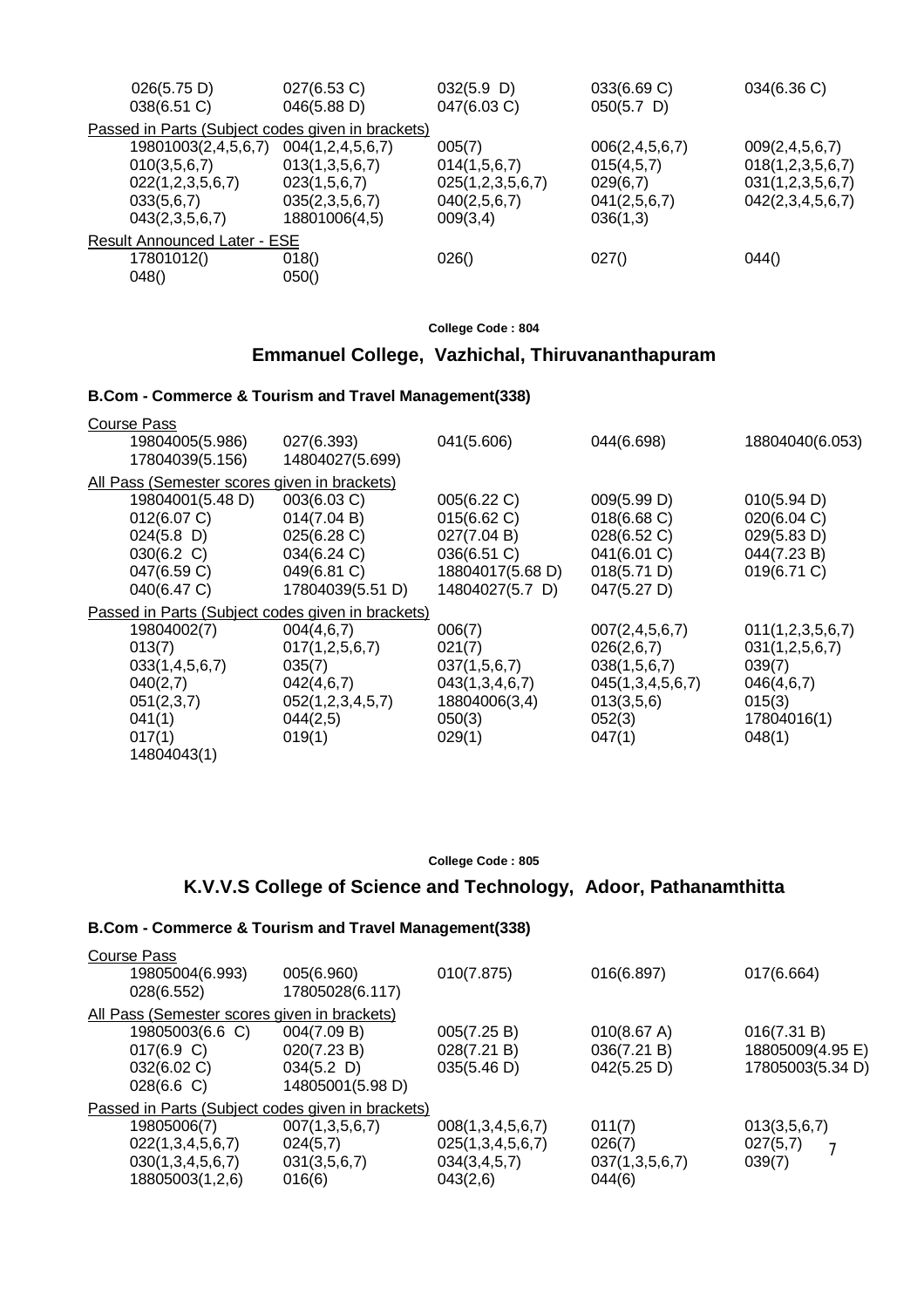| 026(5.75 D)<br>038(6.51 C)                        | 027(6.53 C)<br>046(5.88 D) | $032(5.9)$ D)<br>047(6.03 C) | 033(6.69 C)<br>$050(5.7)$ D) | 034(6.36 C)        |  |
|---------------------------------------------------|----------------------------|------------------------------|------------------------------|--------------------|--|
| Passed in Parts (Subject codes given in brackets) |                            |                              |                              |                    |  |
| 19801003(2,4,5,6,7)                               | 004(1,2,4,5,6,7)           | 005(7)                       | 006(2, 4, 5, 6, 7)           | 009(2, 4, 5, 6, 7) |  |
| 010(3,5,6,7)                                      | 013(1,3,5,6,7)             | 014(1,5,6,7)                 | 015(4,5,7)                   | 018(1,2,3,5,6,7)   |  |
| 022(1,2,3,5,6,7)                                  | 023(1,5,6,7)               | 025(1,2,3,5,6,7)             | 029(6,7)                     | 031(1,2,3,5,6,7)   |  |
| 033(5,6,7)                                        | 035(2,3,5,6,7)             | 040(2,5,6,7)                 | 041(2,5,6,7)                 | 042(2,3,4,5,6,7)   |  |
| 043(2,3,5,6,7)                                    | 18801006(4,5)              | 009(3,4)                     | 036(1,3)                     |                    |  |
| <b>Result Announced Later - ESE</b>               |                            |                              |                              |                    |  |
| 17801012()                                        | 018()                      | 026()                        | 027()                        | 044()              |  |
| 048()                                             | 050()                      |                              |                              |                    |  |

**College Code : 804**

# **Emmanuel College, Vazhichal, Thiruvananthapuram**

## **B.Com - Commerce & Tourism and Travel Management(338)**

| Course Pass<br>19804005(5.986)<br>17804039(5.156)                                                                                                                        | 027(6.393)<br>14804027(5.699)                                                                                          | 041(5.606)                                                                                                 | 044(6.698)                                                                                                            | 18804040(6.053)                                                                               |
|--------------------------------------------------------------------------------------------------------------------------------------------------------------------------|------------------------------------------------------------------------------------------------------------------------|------------------------------------------------------------------------------------------------------------|-----------------------------------------------------------------------------------------------------------------------|-----------------------------------------------------------------------------------------------|
| All Pass (Semester scores given in brackets)<br>19804001(5.48 D)<br>012(6.07 C)<br>$024(5.8)$ D)<br>030(6.2 C)<br>047(6.59 C)                                            | 003(6.03 C)<br>014(7.04 B)<br>025(6.28 C)<br>034(6.24 C)<br>049(6.81 C)                                                | 005(6.22 C)<br>015(6.62 C)<br>027(7.04 B)<br>036(6.51 C)<br>18804017(5.68 D)                               | 009(5.99 D)<br>018(6.68)<br>028(6.52 C)<br>041(6.01 C)<br>018(5.71 D)                                                 | 010(5.94 D)<br>020(6.04 C)<br>029(5.83 D)<br>044(7.23 B)<br>019(6.71 C)                       |
| 040(6.47 C)<br>Passed in Parts (Subject codes given in brackets)<br>19804002(7)<br>013(7)<br>033(1,4,5,6,7)<br>040(2,7)<br>051(2,3,7)<br>041(1)<br>017(1)<br>14804043(1) | 17804039(5.51 D)<br>004(4,6,7)<br>017(1, 2, 5, 6, 7)<br>035(7)<br>042(4,6,7)<br>052(1,2,3,4,5,7)<br>044(2,5)<br>019(1) | 14804027(5.7 D)<br>006(7)<br>021(7)<br>037(1,5,6,7)<br>043(1,3,4,6,7)<br>18804006(3,4)<br>050(3)<br>029(1) | 047(5.27 D)<br>007(2, 4, 5, 6, 7)<br>026(2,6,7)<br>038(1,5,6,7)<br>045(1,3,4,5,6,7)<br>013(3,5,6)<br>052(3)<br>047(1) | 011(1,2,3,5,6,7)<br>031(1,2,5,6,7)<br>039(7)<br>046(4,6,7)<br>015(3)<br>17804016(1)<br>048(1) |

**College Code : 805**

# **K.V.V.S College of Science and Technology, Adoor, Pathanamthitta**

| Course Pass                                       |                  |                  |                |                  |
|---------------------------------------------------|------------------|------------------|----------------|------------------|
| 19805004(6.993)                                   | 005(6.960)       | 010(7.875)       | 016(6.897)     | 017(6.664)       |
| 028(6.552)                                        | 17805028(6.117)  |                  |                |                  |
| All Pass (Semester scores given in brackets)      |                  |                  |                |                  |
| 19805003(6.6 C)                                   | 004(7.09 B)      | 005(7.25 B)      | 010(8.67 A)    | 016(7.31 B)      |
| 017(6.9 C)                                        | 020(7.23 B)      | 028(7.21 B)      | 036(7.21 B)    | 18805009(4.95 E) |
| 032(6.02 C)                                       | $034(5.2)$ D)    | 035(5.46 D)      | 042(5.25 D)    | 17805003(5.34 D) |
| 028(6.6)                                          | 14805001(5.98 D) |                  |                |                  |
| Passed in Parts (Subject codes given in brackets) |                  |                  |                |                  |
| 19805006(7)                                       | 007(1,3,5,6,7)   | 008(1,3,4,5,6,7) | 011(7)         | 013(3,5,6,7)     |
| 022(1,3,4,5,6,7)                                  | 024(5,7)         | 025(1,3,4,5,6,7) | 026(7)         | 027(5,7)         |
| 030(1,3,4,5,6,7)                                  | 031(3,5,6,7)     | 034(3,4,5,7)     | 037(1,3,5,6,7) | 039(7)           |
| 18805003(1,2,6)                                   | 016(6)           | 043(2,6)         | 044(6)         |                  |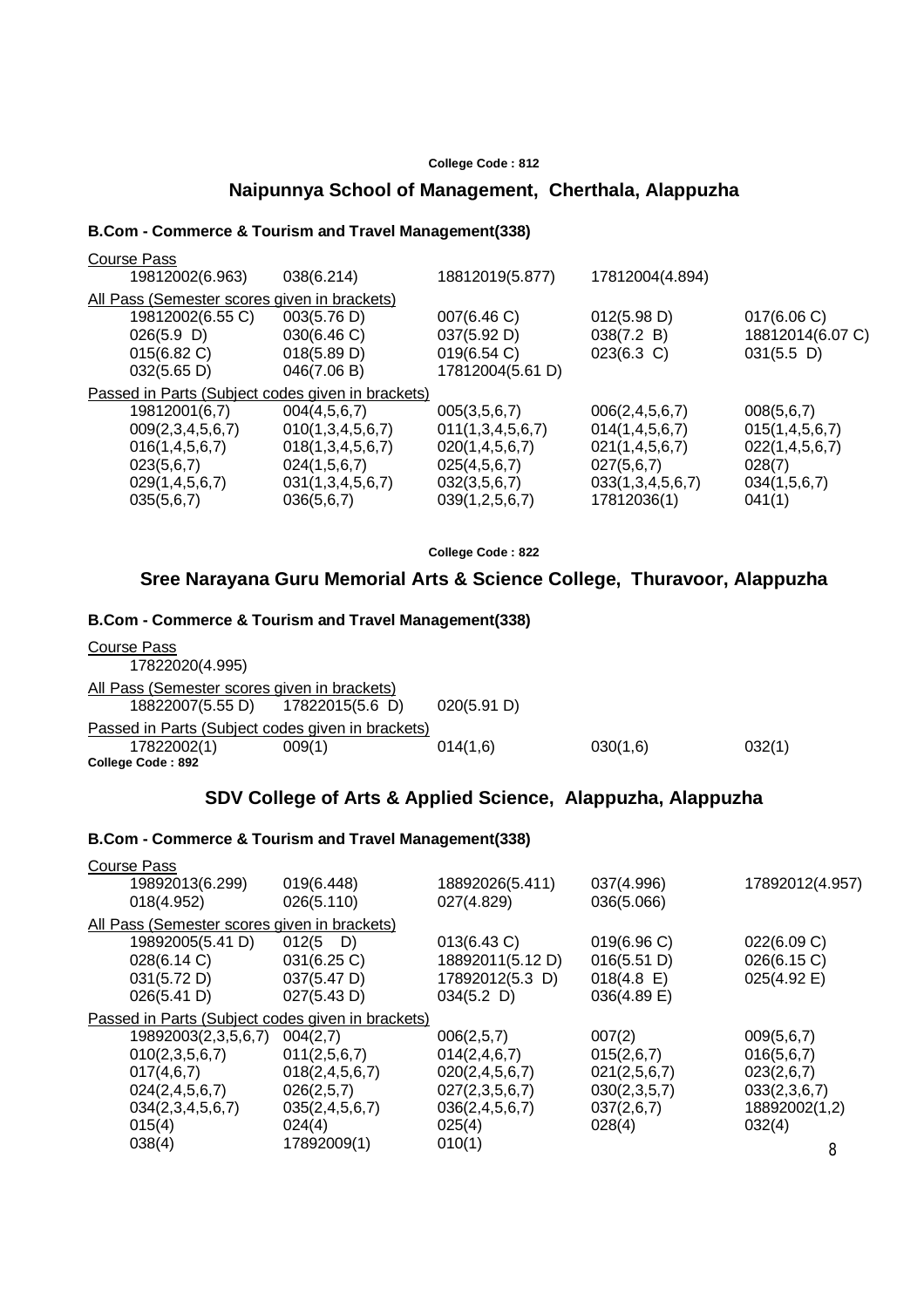#### **College Code : 812**

# **Naipunnya School of Management, Cherthala, Alappuzha**

#### **B.Com - Commerce & Tourism and Travel Management(338)**

| 19812002(6.963)<br>18812019(5.877)<br>17812004(4.894)<br>038(6.214)                                  |  |  |  |  |  |
|------------------------------------------------------------------------------------------------------|--|--|--|--|--|
|                                                                                                      |  |  |  |  |  |
| All Pass (Semester scores given in brackets)                                                         |  |  |  |  |  |
| 003(5.76 D)<br>19812002(6.55 C)<br>007(6.46)<br>012(5.98 D)<br>$017(6.06 \text{ C})$                 |  |  |  |  |  |
| 030(6.46 C)<br>$026(5.9)$ D)<br>037(5.92 D)<br>038(7.2 B)<br>18812014(6.07 C)                        |  |  |  |  |  |
| 019(6.54 C)<br>$031(5.5)$ D)<br>015(6.82 C)<br>018(5.89 D)<br>$023(6.3)$ C)                          |  |  |  |  |  |
| 17812004(5.61 D)<br>046(7.06 B)<br>$032(5.65 \text{ D})$                                             |  |  |  |  |  |
| Passed in Parts (Subject codes given in brackets)                                                    |  |  |  |  |  |
| 19812001(6,7)<br>004(4,5,6,7)<br>005(3,5,6,7)<br>006(2, 4, 5, 6, 7)<br>008(5,6,7)                    |  |  |  |  |  |
| 009(2,3,4,5,6,7)<br>010(1,3,4,5,6,7)<br>011(1,3,4,5,6,7)<br>014(1, 4, 5, 6, 7)<br>015(1, 4, 5, 6, 7) |  |  |  |  |  |
| 016(1, 4, 5, 6, 7)<br>018(1,3,4,5,6,7)<br>020(1, 4, 5, 6, 7)<br>021(1,4,5,6,7)<br>022(1,4,5,6,7)     |  |  |  |  |  |
| 024(1,5,6,7)<br>025(4,5,6,7)<br>028(7)<br>023(5,6,7)<br>027(5,6,7)                                   |  |  |  |  |  |
| 031(1,3,4,5,6,7)<br>032(3,5,6,7)<br>029(1,4,5,6,7)<br>033(1,3,4,5,6,7)<br>034(1,5,6,7)               |  |  |  |  |  |
| 039(1, 2, 5, 6, 7)<br>17812036(1)<br>035(5,6,7)<br>041(1)<br>036(5,6,7)                              |  |  |  |  |  |

**College Code : 822**

## **Sree Narayana Guru Memorial Arts & Science College, Thuravoor, Alappuzha**

#### **B.Com - Commerce & Tourism and Travel Management(338)**

| Course Pass                                       |        |             |          |        |
|---------------------------------------------------|--------|-------------|----------|--------|
| 17822020(4.995)                                   |        |             |          |        |
| All Pass (Semester scores given in brackets)      |        |             |          |        |
| 18822007(5.55 D) 17822015(5.6 D)                  |        | 020(5.91 D) |          |        |
| Passed in Parts (Subject codes given in brackets) |        |             |          |        |
| 17822002(1)                                       | 009(1) | 014(1,6)    | 030(1,6) | 032(1) |
| College Code: 892                                 |        |             |          |        |

## **SDV College of Arts & Applied Science, Alappuzha, Alappuzha**

| <b>Course Pass</b>                                |                    |                    |               |                 |  |  |
|---------------------------------------------------|--------------------|--------------------|---------------|-----------------|--|--|
| 19892013(6.299)                                   | 019(6.448)         | 18892026(5.411)    | 037(4.996)    | 17892012(4.957) |  |  |
| 018(4.952)                                        | 026(5.110)         | 027(4.829)         | 036(5.066)    |                 |  |  |
| All Pass (Semester scores given in brackets)      |                    |                    |               |                 |  |  |
| 19892005(5.41 D)                                  | $012(5)$ D)        | $013(6.43)$ C)     | 019(6.96 C)   | 022(6.09 C)     |  |  |
| 028(6.14 C)                                       | $031(6.25)$ C)     | 18892011(5.12 D)   | 016(5.51 D)   | 026(6.15 C)     |  |  |
| 031(5.72 D)                                       | 037(5.47 D)        | 17892012(5.3 D)    | $018(4.8)$ E) | 025(4.92 E)     |  |  |
| 026(5.41 D)                                       | 027(5.43 D)        | $034(5.2)$ D)      | 036(4.89 E)   |                 |  |  |
| Passed in Parts (Subject codes given in brackets) |                    |                    |               |                 |  |  |
| 19892003(2,3,5,6,7)                               | 004(2,7)           | 006(2,5,7)         | 007(2)        | 009(5,6,7)      |  |  |
| 010(2,3,5,6,7)                                    | 011(2,5,6,7)       | 014(2, 4, 6, 7)    | 015(2,6,7)    | 016(5,6,7)      |  |  |
| 017(4,6,7)                                        | 018(2, 4, 5, 6, 7) | 020(2, 4, 5, 6, 7) | 021(2,5,6,7)  | 023(2,6,7)      |  |  |
| 024(2,4,5,6,7)                                    | 026(2,5,7)         | 027(2,3,5,6,7)     | 030(2,3,5,7)  | 033(2,3,6,7)    |  |  |
| 034(2,3,4,5,6,7)                                  | 035(2, 4, 5, 6, 7) | 036(2, 4, 5, 6, 7) | 037(2,6,7)    | 18892002(1,2)   |  |  |
| 015(4)                                            | 024(4)             | 025(4)             | 028(4)        | 032(4)          |  |  |
| 038(4)                                            | 17892009(1)        | 010(1)             |               | 8               |  |  |
|                                                   |                    |                    |               |                 |  |  |